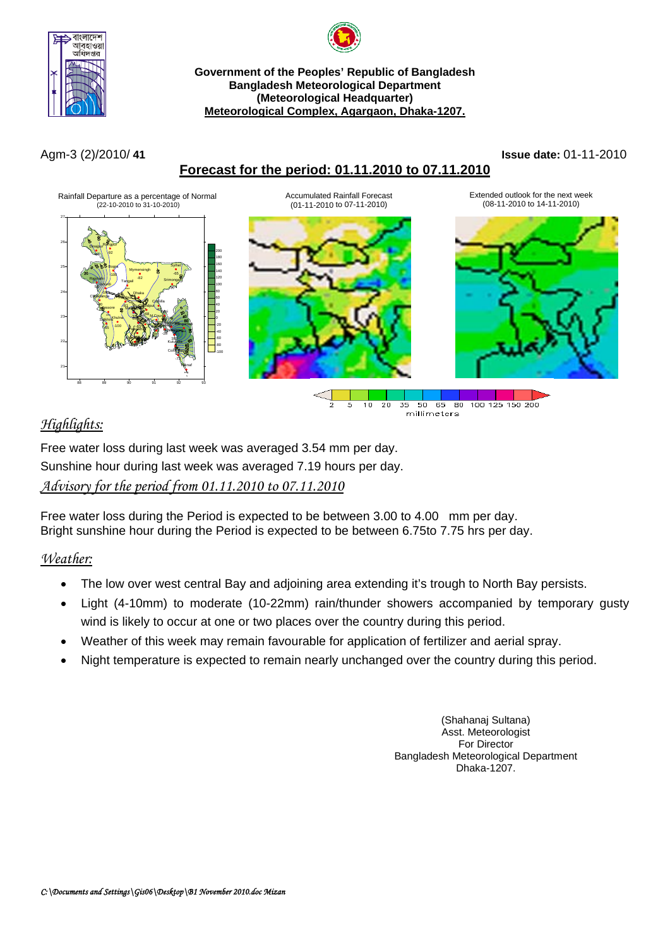



#### **Government of the Peoples' Republic of Bangladesh Bangladesh Meteorological Department (Meteorological Headquarter) Meteorological Complex, Agargaon, Dhaka-1207.**

# **Forecast for the period: 01.11.2010 to 07.11.2010**

#### Agm-3 (2)/2010/ **41 Issue date:** 01-11-2010



# *Highlights:*

Free water loss during last week was averaged 3.54 mm per day. Sunshine hour during last week was averaged 7.19 hours per day. *Advisory for the period from 01.11.2010 to 07.11.2010*

Free water loss during the Period is expected to be between 3.00 to 4.00 mm per day. Bright sunshine hour during the Period is expected to be between 6.75to 7.75 hrs per day.

# *Weather:*

- The low over west central Bay and adjoining area extending it's trough to North Bay persists.
- Light (4-10mm) to moderate (10-22mm) rain/thunder showers accompanied by temporary gusty wind is likely to occur at one or two places over the country during this period.
- Weather of this week may remain favourable for application of fertilizer and aerial spray.
- Night temperature is expected to remain nearly unchanged over the country during this period.

(Shahanaj Sultana) Asst. Meteorologist For Director Bangladesh Meteorological Department Dhaka-1207.

millimeters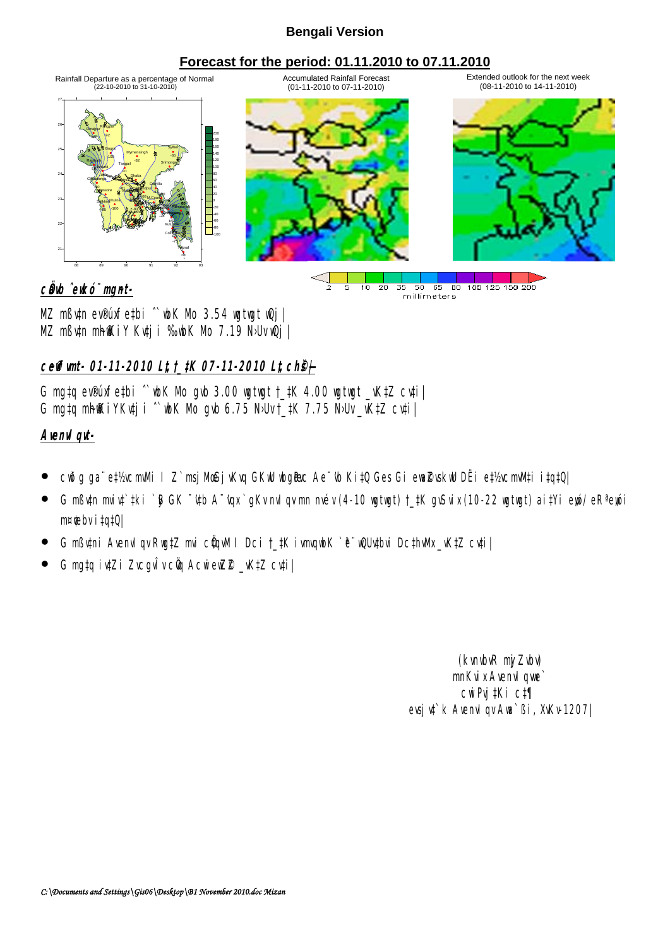## **Bengali Version**

## **Forecast for the period: 01.11.2010 to 07.11.2010**



MZ mßv‡n ev®úxfe‡bi ˆ`wbK Mo 3.54 wgtwgt wQj| MZ mßytn mhiKiY Kytji %bK Mb 7.19 N·Uv wQj

## **ceffunt- 01-11-2010 Lt, t\_#K 07-11-2010 Lt, ch&** $\vdash$

G mg‡q ev®úxfe‡bi  $\degree$  wh Nb gub 3.00 wgtwgt  $\pm$ #K 4.00 wgtwgt  $\pm$ W<sub>1</sub>Z cu‡i| G mg‡q mh@KiYKv‡ji ^`wk Mo gvb 6.75 NbUv $\pm$ ‡K 7.75 NbUv $\pm$ vK‡Z cv‡i $\pm$ 

## **AvenvIqvt-**

- cwðg ga¨ e‡½cmMi I Z`msjMcBj√kvq GKwU wbg@c Ae¯\b Ki‡Q Ges Gi ewa⊉vskwU DËi e‡½cmM‡i i‡q‡Q|
- G mßytn miyt`#ki `B GK ~'ytb A~'yax` gKv nvl gv nn nvév (4-10 wgtwgt) †\_#K gySvix (10-22 wgtwgt) ai#Yi eyó/ eRª eyói m¤¢ebv i ‡q‡Q|
- G mßutni AvenuI qv Rug‡Z mui cüqvM I Dci †\_#K ivmqubK `ë¨ wQUu‡bui Dc‡hvMx\_vK‡Z cu‡i|
- G mg‡q iv‡Zi ZvcgvÎv cÖy AcwiewZ®\_vK‡Z cv‡i|

(kvnbvR nj Zvby) mnKvix Avenvique` cwiPvj‡Ki c‡¶ evsju<sup>t</sup> k AvenuI gv Ava`ßi, XvKv-1207|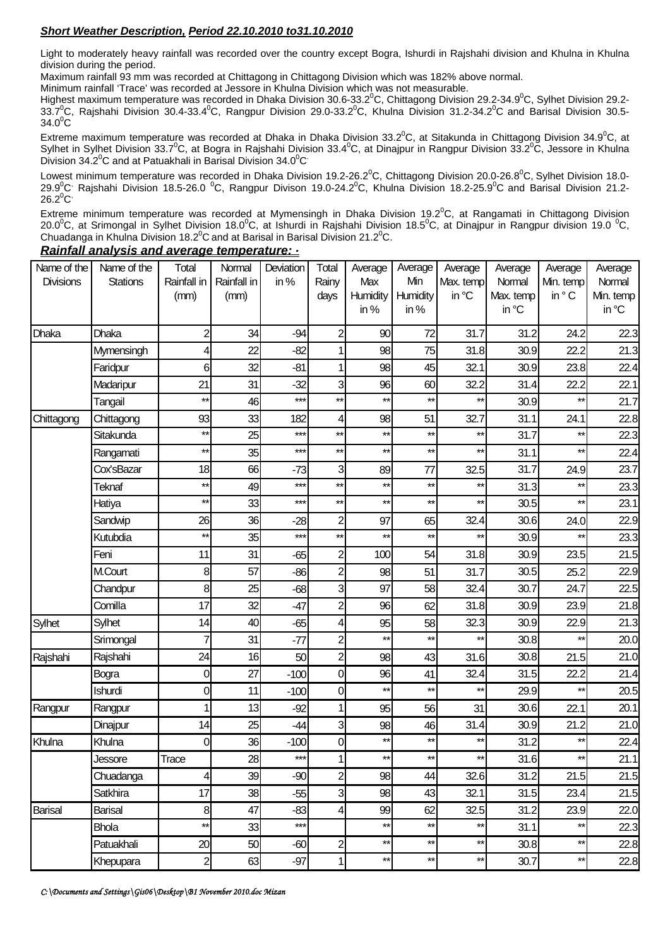### *Short Weather Description, Period 22.10.2010 to31.10.2010*

Light to moderately heavy rainfall was recorded over the country except Bogra, Ishurdi in Rajshahi division and Khulna in Khulna division during the period.

Maximum rainfall 93 mm was recorded at Chittagong in Chittagong Division which was 182% above normal.

Minimum rainfall 'Trace' was recorded at Jessore in Khulna Division which was not measurable.

Highest maximum temperature was recorded in Dhaka Division 30.6-33.2<sup>0</sup>C, Chittagong Division 29.2-34.9<sup>0</sup>C, Sylhet Division 29.2- $33.7^0$ C, Rajshahi Division 30.4-33.4 $^0$ C, Rangpur Division 29.0-33.2 $^0$ C, Khulna Division 31.2-34.2 $^0$ C and Barisal Division 30.5- $34.0^{\circ}$ C

Extreme maximum temperature was recorded at Dhaka in Dhaka Division 33.2<sup>0</sup>C, at Sitakunda in Chittagong Division 34.9<sup>0</sup>C, at Sylhet in Sylhet Division 33.7<sup>0</sup>C, at Bogra in Rajshahi Division 33.4<sup>0</sup>C, at Dinajpur in Rangpur Division 33.2<sup>0</sup>C, Jessore in Khulna Division  $34.2^{\circ}$ C and at Patuakhali in Barisal Division  $34.0^{\circ}$ C

Lowest minimum temperature was recorded in Dhaka Division 19.2-26.2 $^0$ C, Chittagong Division 20.0-26.8 $^0$ C, Sylhet Division 18.0-29.9 $^0$ C' Rajshahi Division 18.5-26.0  $^0$ C, Rangpur Divison 19.0-24.2 $^0$ C, Khulna Division 18.2-25.9 $^0$ C and Barisal Division 21.2- $26.2^0C$ 

Extreme minimum temperature was recorded at Mymensingh in Dhaka Division 19.2 $^0$ C, at Rangamati in Chittagong Division 20.0 $^0$ C, at Srimongal in Sylhet Division 18.0 $^0$ C, at Ishurdi in Rajshahi Division 18.5 $^0$ C, at Dinajpur in Rangpur division 19.0  $^0$ C, Chuadanga in Khulna Division 18.2 $^0$ C and at Barisal in Barisal Division 21.2 $^0$ C.

| Name of the    | Name of the  | Total           | Normal      | Deviation | Total                   | Average         | Average      | Average         | Average   | Average         | Average   |
|----------------|--------------|-----------------|-------------|-----------|-------------------------|-----------------|--------------|-----------------|-----------|-----------------|-----------|
| Divisions      | Stations     | Rainfall in     | Rainfall in | in%       | Rainy                   | Max             | Min          | Max. temp       | Normal    | Min. temp       | Normal    |
|                |              | (mm)            | (mm)        |           | days                    | Humidity        | Humidity     | in °C           | Max. temp | in °C           | Min. temp |
|                |              |                 |             |           |                         | in%             | in $%$       |                 | in °C     |                 | in °C     |
| Dhaka          | Dhaka        | $\overline{c}$  | 34          | $-94$     | $\overline{c}$          | 90              | 72           | 31.7            | 31.2      | 24.2            | 22.3      |
|                | Mymensingh   | 4               | 22          | $-82$     | 1                       | 98              | 75           | 31.8            | 30.9      | 22.2            | 21.3      |
|                | Faridpur     | 6               | 32          | $-81$     | 1                       | 98              | 45           | 32.1            | 30.9      | 23.8            | 22.4      |
|                | Madaripur    | 21              | 31          | $-32$     | 3                       | 96              | 60           | 32.2            | 31.4      | 22.2            | 22.1      |
|                | Tangail      | $\star\star$    | 46          | $***$     | $***$                   | $**$            | $\star\star$ | $^{\star\star}$ | 30.9      | $^{\star\star}$ | 21.7      |
| Chittagong     | Chittagong   | 93              | 33          | 182       | 4                       | 98              | 51           | 32.7            | 31.1      | 24.1            | 22.8      |
|                | Sitakunda    | $\star\star$    | 25          | $***$     | $***$                   | $**$            | $\star\star$ | $\star\star$    | 31.7      | $^{\star\star}$ | 22.3      |
|                | Rangamati    | $\star\star$    | 35          | $***$     | $***$                   | $\star\star$    | $\star\star$ | $^{\star\star}$ | 31.1      | $\star\star$    | 22.4      |
|                | Cox'sBazar   | 18              | 66          | $-73$     | 3                       | 89              | 77           | 32.5            | 31.7      | 24.9            | 23.7      |
|                | Teknaf       | $^{\star\star}$ | 49          | $***$     | $***$                   | $***$           | $\star\star$ | $^{\star\star}$ | 31.3      | $\star\star$    | 23.3      |
|                | Hatiya       | $\star\star$    | 33          | $***$     | $\star\star$            | $**$            | $\star\star$ | $\star\star$    | 30.5      | $\star\star$    | 23.1      |
|                | Sandwip      | 26              | 36          | $-28$     | $\overline{\mathbf{c}}$ | 97              | 65           | 32.4            | 30.6      | 24.0            | 22.9      |
|                | Kutubdia     | $***$           | 35          | $***$     | **                      | $\star\star$    | $**$         | $\star\star$    | 30.9      | $^{\star\star}$ | 23.3      |
|                | Feni         | 11              | 31          | $-65$     | $\overline{c}$          | 100             | 54           | 31.8            | 30.9      | 23.5            | 21.5      |
|                | M.Court      | 8               | 57          | $-86$     | $\overline{c}$          | 98              | 51           | 31.7            | 30.5      | 25.2            | 22.9      |
|                | Chandpur     | 8               | 25          | $-68$     | 3                       | 97              | 58           | 32.4            | 30.7      | 24.7            | 22.5      |
|                | Comilla      | 17              | 32          | -47       | $\overline{c}$          | 96              | 62           | 31.8            | 30.9      | 23.9            | 21.8      |
| Sylhet         | Sylhet       | 14              | 40          | $-65$     | 4                       | 95              | 58           | 32.3            | 30.9      | 22.9            | 21.3      |
|                | Srimongal    | 7               | 31          | $-77$     | $\overline{c}$          | $\star\star$    | $**$         | $^{\star\star}$ | 30.8      | $\star\star$    | 20.0      |
| Rajshahi       | Rajshahi     | 24              | 16          | 50        | $\overline{a}$          | 98              | 43           | 31.6            | 30.8      | 21.5            | 21.0      |
|                | Bogra        | 0               | 27          | $-100$    | 0                       | 96              | 41           | 32.4            | 31.5      | 22.2            | 21.4      |
|                | Ishurdi      | 0               | 11          | $-100$    | 0                       | $\star\star$    | $\star\star$ | $^{\star\star}$ | 29.9      | $\star\star$    | 20.5      |
| Rangpur        | Rangpur      |                 | 13          | $-92$     | 1                       | 95              | 56           | 31              | 30.6      | 22.1            | 20.1      |
|                | Dinajpur     | 4               | 25          | $-44$     | 3                       | 98              | 46           | 31.4            | 30.9      | 21.2            | 21.0      |
| Khulna         | Khulna       | 0               | 36          | $-100$    | 0                       | $***$           | $**$         | $\star\star$    | 31.2      | $\star\star$    | 22.4      |
|                | Jessore      | Trace           | 28          | ***       | $\mathbf{1}$            | $^{\star\star}$ | **           | $\star\star$    | 31.6      | $\star\star$    | 21.1      |
|                | Chuadanga    | 4               | 39          | $-90$     | $\overline{c}$          | 98              | 44           | 32.6            | 31.2      | 21.5            | 21.5      |
|                | Satkhira     | 17              | 38          | $-55$     | 3                       | 98              | 43           | 32.1            | 31.5      | 23.4            | 21.5      |
| <b>Barisal</b> | Barisal      | 8               | 47          | $-83$     | 4                       | 99              | 62           | 32.5            | 31.2      | 23.9            | 22.0      |
|                | <b>Bhola</b> | $^{\star\star}$ | 33          | $***$     |                         | $**$            | $\star\star$ | $\star\star$    | 31.1      | $\star\star$    | 22.3      |
|                | Patuakhali   | 20              | 50          | $-60$     | $\overline{c}$          | $\star\star$    | $\star\star$ | $^{\star\star}$ | 30.8      | $\star\star$    | 22.8      |
|                | Khepupara    | $\overline{2}$  | 63          | $-97$     | $\mathbf{1}$            | $^{\star\star}$ | $\star\star$ | $\star\star$    | 30.7      | $\star\star$    | 22.8      |

*Rainfall analysis and average temperature:* **-**